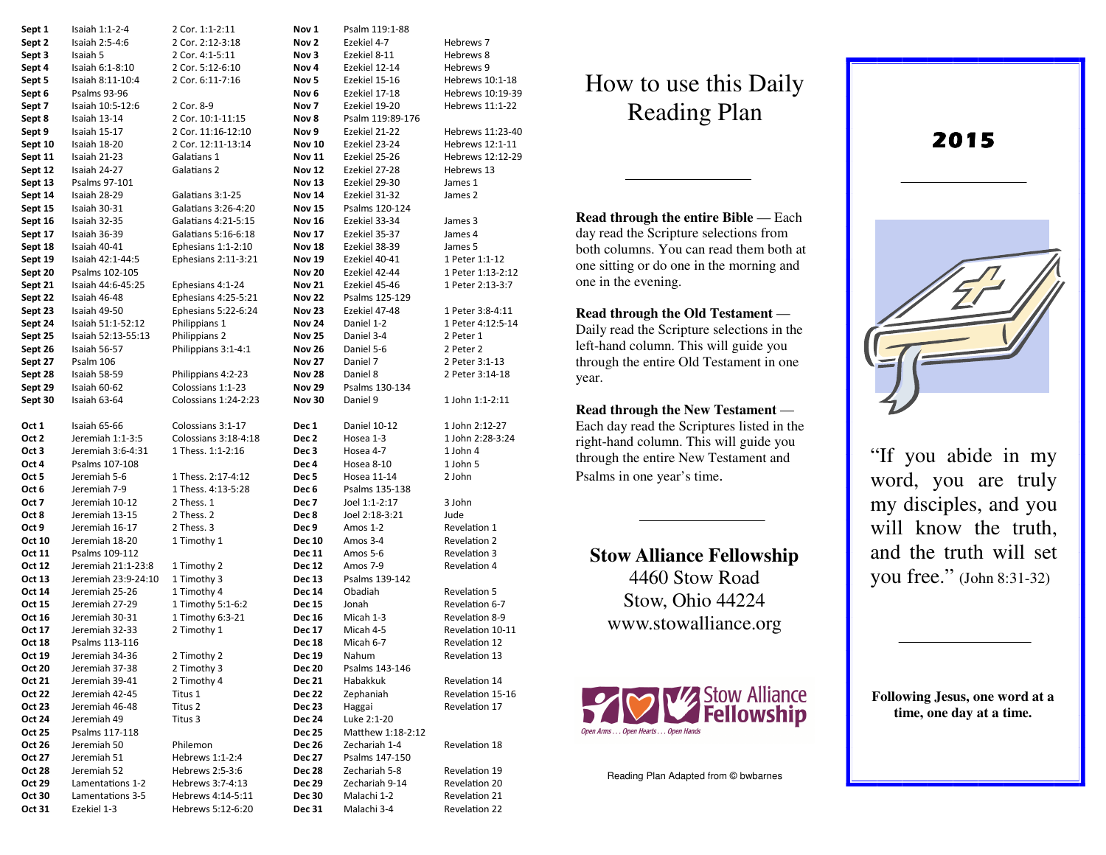| Sept 1             | Isaiah 1:1-2-4                       | 2 Cor. 1:1-2:11                       | Nov 1                          | Psalm 119:1-88                     |                                |
|--------------------|--------------------------------------|---------------------------------------|--------------------------------|------------------------------------|--------------------------------|
| Sept 2             | Isaiah 2:5-4:6                       | 2 Cor. 2:12-3:18                      | Nov 2                          | Ezekiel 4-7                        | Hebrews 7                      |
| Sept 3             | Isaiah 5                             | 2 Cor. 4:1-5:11                       | Nov 3                          | Ezekiel 8-11                       | Hebrews 8                      |
| Sept 4             | Isaiah 6:1-8:10                      | 2 Cor. 5:12-6:10                      | Nov 4                          | Ezekiel 12-14                      | Hebrews 9                      |
| Sept 5             | Isaiah 8:11-10:4                     | 2 Cor. 6:11-7:16                      | Nov 5                          | Ezekiel 15-16                      | Hebrews 10:1-18                |
| Sept 6             | Psalms 93-96                         |                                       | Nov 6                          | Ezekiel 17-18                      | Hebrews 10:19-39               |
| Sept 7             | Isaiah 10:5-12:6                     | 2 Cor. 8-9                            | Nov 7                          | Ezekiel 19-20                      | Hebrews 11:1-22                |
| Sept 8             | Isaiah 13-14                         | 2 Cor. 10:1-11:15                     | Nov 8                          | Psalm 119:89-176                   |                                |
| Sept 9             | Isaiah 15-17                         | 2 Cor. 11:16-12:10                    | Nov 9                          | Ezekiel 21-22                      | Hebrews 11:23-40               |
| Sept 10            | Isaiah 18-20                         | 2 Cor. 12:11-13:14                    | <b>Nov 10</b>                  | Ezekiel 23-24                      | Hebrews 12:1-11                |
| Sept 11            | Isaiah 21-23                         | Galatians 1                           | <b>Nov 11</b>                  | Ezekiel 25-26                      | Hebrews 12:12-29               |
|                    | Isaiah 24-27                         | Galatians 2                           | <b>Nov 12</b>                  | Ezekiel 27-28                      | Hebrews 13                     |
| Sept 12            | Psalms 97-101                        |                                       | <b>Nov 13</b>                  | Ezekiel 29-30                      | James 1                        |
| Sept 13<br>Sept 14 | Isaiah 28-29                         | Galatians 3:1-25                      | <b>Nov 14</b>                  | Ezekiel 31-32                      | James 2                        |
| Sept 15            | Isaiah 30-31                         | Galatians 3:26-4:20                   | <b>Nov 15</b>                  | Psalms 120-124                     |                                |
|                    |                                      |                                       |                                | Ezekiel 33-34                      |                                |
| Sept 16            | Isaiah 32-35                         | Galatians 4:21-5:15                   | Nov 16                         |                                    | James 3                        |
| Sept 17            | Isaiah 36-39                         | Galatians 5:16-6:18                   | <b>Nov 17</b>                  | Ezekiel 35-37                      | James 4                        |
| Sept 18            | Isaiah 40-41                         | Ephesians 1:1-2:10                    | <b>Nov 18</b>                  | Ezekiel 38-39                      | James 5                        |
| Sept 19            | Isaiah 42:1-44:5                     | Ephesians 2:11-3:21                   | <b>Nov 19</b>                  | Ezekiel 40-41                      | 1 Peter 1:1-12                 |
| Sept 20            | Psalms 102-105                       |                                       | <b>Nov 20</b>                  | Ezekiel 42-44                      | 1 Peter 1:13-2:12              |
| Sept 21            | Isaiah 44:6-45:25                    | Ephesians 4:1-24                      | <b>Nov 21</b>                  | Ezekiel 45-46                      | 1 Peter 2:13-3:7               |
| Sept 22            | Isaiah 46-48                         | Ephesians 4:25-5:21                   | <b>Nov 22</b>                  | Psalms 125-129                     |                                |
| Sept 23            | Isaiah 49-50                         | Ephesians 5:22-6:24                   | <b>Nov 23</b>                  | Ezekiel 47-48                      | 1 Peter 3:8-4:11               |
| Sept 24            | Isaiah 51:1-52:12                    | Philippians 1                         | <b>Nov 24</b>                  | Daniel 1-2                         | 1 Peter 4:12:5-14              |
| Sept 25            | Isaiah 52:13-55:13                   | Philippians 2                         | <b>Nov 25</b>                  | Daniel 3-4                         | 2 Peter 1                      |
| Sept 26            | Isaiah 56-57                         | Philippians 3:1-4:1                   | <b>Nov 26</b>                  | Daniel 5-6                         | 2 Peter 2                      |
| Sept 27            | Psalm 106                            |                                       | <b>Nov 27</b>                  | Daniel 7                           | 2 Peter 3:1-13                 |
| Sept 28            | Isaiah 58-59                         | Philippians 4:2-23                    | <b>Nov 28</b>                  | Daniel 8                           | 2 Peter 3:14-18                |
| Sept 29            | Isaiah 60-62                         | Colossians 1:1-23                     | <b>Nov 29</b>                  | Psalms 130-134                     |                                |
| Sept 30            | Isaiah 63-64                         | Colossians 1:24-2:23                  | <b>Nov 30</b>                  | Daniel 9                           | 1 John 1:1-2:11                |
|                    |                                      |                                       |                                |                                    |                                |
|                    |                                      |                                       |                                |                                    |                                |
| Oct 1              | Isaiah 65-66                         | Colossians 3:1-17                     | Dec 1                          | <b>Daniel 10-12</b>                | 1 John 2:12-27                 |
| Oct 2              | Jeremiah 1:1-3:5                     | Colossians 3:18-4:18                  | Dec 2                          | Hosea 1-3                          | 1 John 2:28-3:24               |
| Oct 3              | Jeremiah 3:6-4:31                    | 1 Thess. 1:1-2:16                     | Dec 3                          | Hosea 4-7                          | 1 John 4                       |
| Oct 4              | Psalms 107-108                       |                                       | Dec 4                          | Hosea 8-10                         | 1 John 5                       |
| Oct 5              | Jeremiah 5-6                         | 1 Thess. 2:17-4:12                    | Dec 5                          | Hosea 11-14                        | 2 John                         |
| Oct 6              | Jeremiah 7-9                         | 1 Thess. 4:13-5:28                    | Dec 6                          | Psalms 135-138                     |                                |
| Oct 7              | Jeremiah 10-12                       | 2 Thess. 1                            | Dec 7                          | Joel 1:1-2:17                      | 3 John                         |
| Oct 8              | Jeremiah 13-15                       | 2 Thess. 2                            | Dec 8                          | Joel 2:18-3:21                     | Jude                           |
| Oct 9              | Jeremiah 16-17                       | 2 Thess. 3                            | Dec 9                          | Amos 1-2                           | Revelation 1                   |
| Oct 10             | Jeremiah 18-20                       | 1 Timothy 1                           | <b>Dec 10</b>                  | Amos 3-4                           | <b>Revelation 2</b>            |
| Oct 11             | Psalms 109-112                       |                                       | <b>Dec 11</b>                  | Amos 5-6                           | Revelation 3                   |
| Oct 12             | Jeremiah 21:1-23:8                   | 1 Timothy 2                           | <b>Dec 12</b>                  | Amos 7-9                           | Revelation 4                   |
| Oct 13             | Jeremiah 23:9-24:10                  | 1 Timothy 3                           | <b>Dec 13</b>                  | Psalms 139-142                     |                                |
| Oct 14             | Jeremiah 25-26                       | 1 Timothy 4                           | Dec 14                         | Obadiah                            | <b>Revelation 5</b>            |
| Oct 15             | Jeremiah 27-29                       | 1 Timothy 5:1-6:2                     | Dec 15                         | Jonah                              | Revelation 6-7                 |
| Oct 16             | Jeremiah 30-31                       | 1 Timothy 6:3-21                      | <b>Dec 16</b>                  | Micah 1-3                          | Revelation 8-9                 |
| Oct 17             | Jeremiah 32-33                       | 2 Timothy 1                           | Dec 17                         | Micah 4-5                          | Revelation 10-11               |
| Oct 18             | Psalms 113-116                       |                                       | <b>Dec 18</b>                  | Micah 6-7                          | Revelation 12                  |
| Oct 19             | Jeremiah 34-36                       | 2 Timothy 2                           | Dec 19                         | Nahum                              | Revelation 13                  |
| Oct 20             | Jeremiah 37-38                       | 2 Timothy 3                           | <b>Dec 20</b>                  | Psalms 143-146                     |                                |
| Oct 21             | Jeremiah 39-41                       | 2 Timothy 4                           | <b>Dec 21</b>                  | Habakkuk                           | Revelation 14                  |
| Oct 22             | Jeremiah 42-45                       | Titus 1                               | <b>Dec 22</b>                  | Zephaniah                          | Revelation 15-16               |
| Oct 23             | Jeremiah 46-48                       | Titus <sub>2</sub>                    | <b>Dec 23</b>                  | Haggai                             | Revelation 17                  |
| Oct 24             | Jeremiah 49                          | Titus 3                               |                                | Luke 2:1-20                        |                                |
| Oct 25             | Psalms 117-118                       |                                       | <b>Dec 24</b><br><b>Dec 25</b> |                                    |                                |
|                    |                                      |                                       |                                | Matthew 1:18-2:12<br>Zechariah 1-4 |                                |
| Oct 26             | Jeremiah 50<br>Jeremiah 51           | Philemon<br>Hebrews 1:1-2:4           | <b>Dec 26</b>                  |                                    | Revelation 18                  |
| Oct 27             |                                      | Hebrews 2:5-3:6                       | Dec 27<br><b>Dec 28</b>        | Psalms 147-150                     |                                |
| Oct 28             | Jeremiah 52                          |                                       |                                | Zechariah 5-8                      | Revelation 19                  |
| Oct 29<br>Oct 30   | Lamentations 1-2<br>Lamentations 3-5 | Hebrews 3:7-4:13<br>Hebrews 4:14-5:11 | Dec 29<br><b>Dec 30</b>        | Zechariah 9-14<br>Malachi 1-2      | Revelation 20<br>Revelation 21 |

## How to use this Daily Reading Plan

**Read through the entire Bible** — Each day read the Scripture selections from both columns. You can read them both at one sitting or do one in the morning and one in the evening.

**Read through the Old Testament** — Daily read the Scripture selections in the left-hand column. This will guide you through the entire Old Testament in one year.

**Read through the New Testament** — Each day read the Scriptures listed in the right-hand column. This will guide you through the entire New Testament and Psalms in one year's time.

## **Stow Alliance Fellowship**

4460 Stow Road Stow, Ohio 44224 www.stowalliance.org



Reading Plan Adapted from © bwbarnes

"If you abide in my word, you are truly

**2015**

 my disciples, and you will know the truth, and the truth will set you free." (John 8:31-32)

**Following Jesus, one word at a time, one day at a time.**